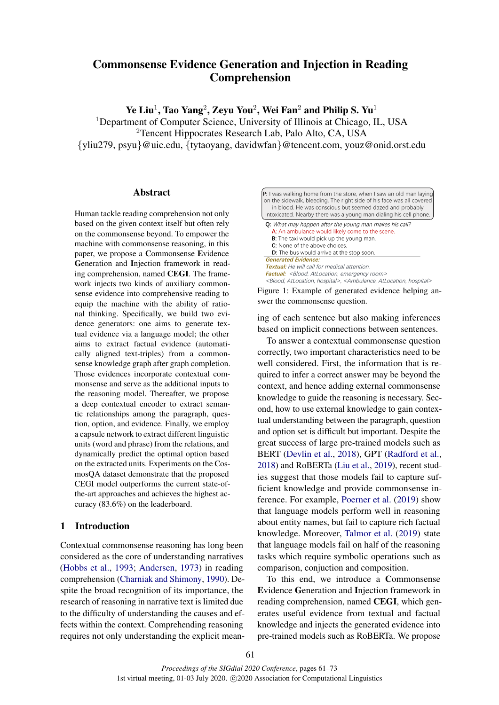# Commonsense Evidence Generation and Injection in Reading Comprehension

Ye Liu $^1$ , Tao Yang $^2$ , Zeyu You $^2$ , Wei Fan $^2$  and Philip S. Yu $^1$ 

<sup>1</sup>Department of Computer Science, University of Illinois at Chicago, IL, USA <sup>2</sup>Tencent Hippocrates Research Lab, Palo Alto, CA, USA {yliu279, psyu}@uic.edu, {tytaoyang, davidwfan}@tencent.com, youz@onid.orst.edu

# Abstract

Human tackle reading comprehension not only based on the given context itself but often rely on the commonsense beyond. To empower the machine with commonsense reasoning, in this paper, we propose a Commonsense Evidence Generation and Injection framework in reading comprehension, named CEGI. The framework injects two kinds of auxiliary commonsense evidence into comprehensive reading to equip the machine with the ability of rational thinking. Specifically, we build two evidence generators: one aims to generate textual evidence via a language model; the other aims to extract factual evidence (automatically aligned text-triples) from a commonsense knowledge graph after graph completion. Those evidences incorporate contextual commonsense and serve as the additional inputs to the reasoning model. Thereafter, we propose a deep contextual encoder to extract semantic relationships among the paragraph, question, option, and evidence. Finally, we employ a capsule network to extract different linguistic units (word and phrase) from the relations, and dynamically predict the optimal option based on the extracted units. Experiments on the CosmosQA dataset demonstrate that the proposed CEGI model outperforms the current state-ofthe-art approaches and achieves the highest accuracy (83.6%) on the leaderboard.

# 1 Introduction

Contextual commonsense reasoning has long been considered as the core of understanding narratives [\(Hobbs et al.,](#page-8-0) [1993;](#page-8-0) [Andersen,](#page-8-1) [1973\)](#page-8-1) in reading comprehension [\(Charniak and Shimony,](#page-8-2) [1990\)](#page-8-2). Despite the broad recognition of its importance, the research of reasoning in narrative text is limited due to the difficulty of understanding the causes and effects within the context. Comprehending reasoning requires not only understanding the explicit mean-

<span id="page-0-0"></span>

| <b>P:</b> I was walking home from the store, when I saw an old man laying<br>on the sidewalk, bleeding. The right side of his face was all covered<br>in blood. He was conscious but seemed dazed and probably<br>intoxicated. Nearby there was a young man dialing his cell phone. |
|-------------------------------------------------------------------------------------------------------------------------------------------------------------------------------------------------------------------------------------------------------------------------------------|
| <b>Q:</b> What may happen after the young man makes his call?<br>A: An ambulance would likely come to the scene.                                                                                                                                                                    |
|                                                                                                                                                                                                                                                                                     |
| <b>B:</b> The taxi would pick up the young man.                                                                                                                                                                                                                                     |
| C: None of the above choices.                                                                                                                                                                                                                                                       |
| <b>D:</b> The bus would arrive at the stop soon.                                                                                                                                                                                                                                    |
| <b>Generated Evidence:</b>                                                                                                                                                                                                                                                          |
| <b>Textual:</b> He will call for medical attention.                                                                                                                                                                                                                                 |
| <b>Factual:</b> <blood, atlocation,="" emergency="" room=""></blood,>                                                                                                                                                                                                               |
| <blood, atlocation,="" hospital="">, <ambulance, atlocation,="" hospital=""></ambulance,></blood,>                                                                                                                                                                                  |

Figure 1: Example of generated evidence helping answer the commonsense question.

ing of each sentence but also making inferences based on implicit connections between sentences.

To answer a contextual commonsense question correctly, two important characteristics need to be well considered. First, the information that is required to infer a correct answer may be beyond the context, and hence adding external commonsense knowledge to guide the reasoning is necessary. Second, how to use external knowledge to gain contextual understanding between the paragraph, question and option set is difficult but important. Despite the great success of large pre-trained models such as BERT [\(Devlin et al.,](#page-8-3) [2018\)](#page-8-3), GPT [\(Radford et al.,](#page-9-0) [2018\)](#page-9-0) and RoBERTa [\(Liu et al.,](#page-9-1) [2019\)](#page-9-1), recent studies suggest that those models fail to capture sufficient knowledge and provide commonsense inference. For example, [Poerner et al.](#page-9-2) [\(2019\)](#page-9-2) show that language models perform well in reasoning about entity names, but fail to capture rich factual knowledge. Moreover, [Talmor et al.](#page-9-3) [\(2019\)](#page-9-3) state that language models fail on half of the reasoning tasks which require symbolic operations such as comparison, conjuction and composition.

To this end, we introduce a Commonsense Evidence Generation and Injection framework in reading comprehension, named CEGI, which generates useful evidence from textual and factual knowledge and injects the generated evidence into pre-trained models such as RoBERTa. We propose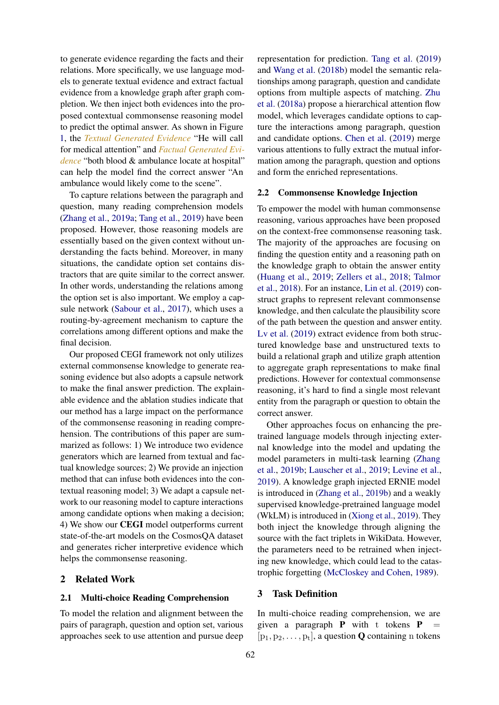to generate evidence regarding the facts and their relations. More specifically, we use language models to generate textual evidence and extract factual evidence from a knowledge graph after graph completion. We then inject both evidences into the proposed contextual commonsense reasoning model to predict the optimal answer. As shown in Figure [1,](#page-0-0) the *Textual Generated Evidence* "He will call for medical attention" and *Factual Generated Evidence* "both blood & ambulance locate at hospital" can help the model find the correct answer "An ambulance would likely come to the scene".

To capture relations between the paragraph and question, many reading comprehension models [\(Zhang et al.,](#page-9-4) [2019a;](#page-9-4) [Tang et al.,](#page-9-5) [2019\)](#page-9-5) have been proposed. However, those reasoning models are essentially based on the given context without understanding the facts behind. Moreover, in many situations, the candidate option set contains distractors that are quite similar to the correct answer. In other words, understanding the relations among the option set is also important. We employ a capsule network [\(Sabour et al.,](#page-9-6) [2017\)](#page-9-6), which uses a routing-by-agreement mechanism to capture the correlations among different options and make the final decision.

Our proposed CEGI framework not only utilizes external commonsense knowledge to generate reasoning evidence but also adopts a capsule network to make the final answer prediction. The explainable evidence and the ablation studies indicate that our method has a large impact on the performance of the commonsense reasoning in reading comprehension. The contributions of this paper are summarized as follows: 1) We introduce two evidence generators which are learned from textual and factual knowledge sources; 2) We provide an injection method that can infuse both evidences into the contextual reasoning model; 3) We adapt a capsule network to our reasoning model to capture interactions among candidate options when making a decision; 4) We show our CEGI model outperforms current state-of-the-art models on the CosmosQA dataset and generates richer interpretive evidence which helps the commonsense reasoning.

### 2 Related Work

#### 2.1 Multi-choice Reading Comprehension

To model the relation and alignment between the pairs of paragraph, question and option set, various approaches seek to use attention and pursue deep

representation for prediction. [Tang et al.](#page-9-5) [\(2019\)](#page-9-5) and [Wang et al.](#page-9-7) [\(2018b\)](#page-9-7) model the semantic relationships among paragraph, question and candidate options from multiple aspects of matching. [Zhu](#page-10-0) [et al.](#page-10-0) [\(2018a\)](#page-10-0) propose a hierarchical attention flow model, which leverages candidate options to capture the interactions among paragraph, question and candidate options. [Chen et al.](#page-8-4) [\(2019\)](#page-8-4) merge various attentions to fully extract the mutual information among the paragraph, question and options and form the enriched representations.

#### 2.2 Commonsense Knowledge Injection

To empower the model with human commonsense reasoning, various approaches have been proposed on the context-free commonsense reasoning task. The majority of the approaches are focusing on finding the question entity and a reasoning path on the knowledge graph to obtain the answer entity [\(Huang et al.,](#page-8-5) [2019;](#page-8-5) [Zellers et al.,](#page-9-8) [2018;](#page-9-8) [Talmor](#page-9-9) [et al.,](#page-9-9) [2018\)](#page-9-9). For an instance, [Lin et al.](#page-8-6) [\(2019\)](#page-8-6) construct graphs to represent relevant commonsense knowledge, and then calculate the plausibility score of the path between the question and answer entity. [Lv et al.](#page-9-10) [\(2019\)](#page-9-10) extract evidence from both structured knowledge base and unstructured texts to build a relational graph and utilize graph attention to aggregate graph representations to make final predictions. However for contextual commonsense reasoning, it's hard to find a single most relevant entity from the paragraph or question to obtain the correct answer.

Other approaches focus on enhancing the pretrained language models through injecting external knowledge into the model and updating the model parameters in multi-task learning [\(Zhang](#page-9-11) [et al.,](#page-9-11) [2019b;](#page-9-11) [Lauscher et al.,](#page-8-7) [2019;](#page-8-7) [Levine et al.,](#page-8-8) [2019\)](#page-8-8). A knowledge graph injected ERNIE model is introduced in [\(Zhang et al.,](#page-9-11) [2019b\)](#page-9-11) and a weakly supervised knowledge-pretrained language model (WkLM) is introduced in [\(Xiong et al.,](#page-9-12) [2019\)](#page-9-12). They both inject the knowledge through aligning the source with the fact triplets in WikiData. However, the parameters need to be retrained when injecting new knowledge, which could lead to the catastrophic forgetting [\(McCloskey and Cohen,](#page-9-13) [1989\)](#page-9-13).

#### 3 Task Definition

In multi-choice reading comprehension, we are given a paragraph  $P$  with t tokens  $P$  $[p_1, p_2, \ldots, p_t]$ , a question **Q** containing n tokens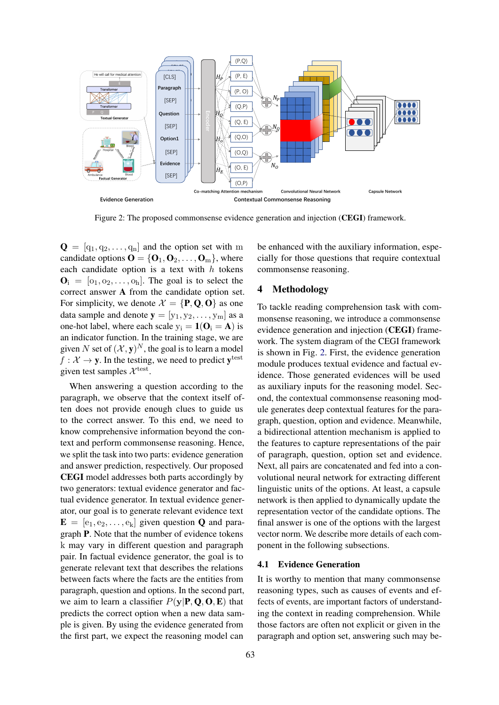<span id="page-2-0"></span>

Figure 2: The proposed commonsense evidence generation and injection (CEGI) framework.

 $\mathbf{Q} = [\mathbf{q}_1, \mathbf{q}_2, \dots, \mathbf{q}_n]$  and the option set with m candidate options  $\mathbf{O} = \{O_1, O_2, \dots, O_m\}$ , where each candidate option is a text with  $h$  tokens  $\mathbf{O}_i = [\mathbf{o}_1, \mathbf{o}_2, \dots, \mathbf{o}_h]$ . The goal is to select the correct answer A from the candidate option set. For simplicity, we denote  $\mathcal{X} = \{P, Q, O\}$  as one data sample and denote  $y = [y_1, y_2, \dots, y_m]$  as a one-hot label, where each scale  $y_i = 1$ ( $O_i = A$ ) is an indicator function. In the training stage, we are given N set of  $(X, y)^N$ , the goal is to learn a model  $f: \mathcal{X} \to \mathbf{y}$ . In the testing, we need to predict  $\mathbf{y}^{\text{test}}$ given test samples  $\mathcal{X}^{\text{test}}$ .

When answering a question according to the paragraph, we observe that the context itself often does not provide enough clues to guide us to the correct answer. To this end, we need to know comprehensive information beyond the context and perform commonsense reasoning. Hence, we split the task into two parts: evidence generation and answer prediction, respectively. Our proposed CEGI model addresses both parts accordingly by two generators: textual evidence generator and factual evidence generator. In textual evidence generator, our goal is to generate relevant evidence text  $\mathbf{E} = [\mathbf{e}_1, \mathbf{e}_2, \dots, \mathbf{e}_k]$  given question **Q** and paragraph P. Note that the number of evidence tokens k may vary in different question and paragraph pair. In factual evidence generator, the goal is to generate relevant text that describes the relations between facts where the facts are the entities from paragraph, question and options. In the second part, we aim to learn a classifier  $P(y|P, Q, O, E)$  that predicts the correct option when a new data sample is given. By using the evidence generated from the first part, we expect the reasoning model can

be enhanced with the auxiliary information, especially for those questions that require contextual commonsense reasoning.

# 4 Methodology

To tackle reading comprehension task with commonsense reasoning, we introduce a commonsense evidence generation and injection (CEGI) framework. The system diagram of the CEGI framework is shown in Fig. [2.](#page-2-0) First, the evidence generation module produces textual evidence and factual evidence. Those generated evidences will be used as auxiliary inputs for the reasoning model. Second, the contextual commonsense reasoning module generates deep contextual features for the paragraph, question, option and evidence. Meanwhile, a bidirectional attention mechanism is applied to the features to capture representations of the pair of paragraph, question, option set and evidence. Next, all pairs are concatenated and fed into a convolutional neural network for extracting different linguistic units of the options. At least, a capsule network is then applied to dynamically update the representation vector of the candidate options. The final answer is one of the options with the largest vector norm. We describe more details of each component in the following subsections.

#### 4.1 Evidence Generation

It is worthy to mention that many commonsense reasoning types, such as causes of events and effects of events, are important factors of understanding the context in reading comprehension. While those factors are often not explicit or given in the paragraph and option set, answering such may be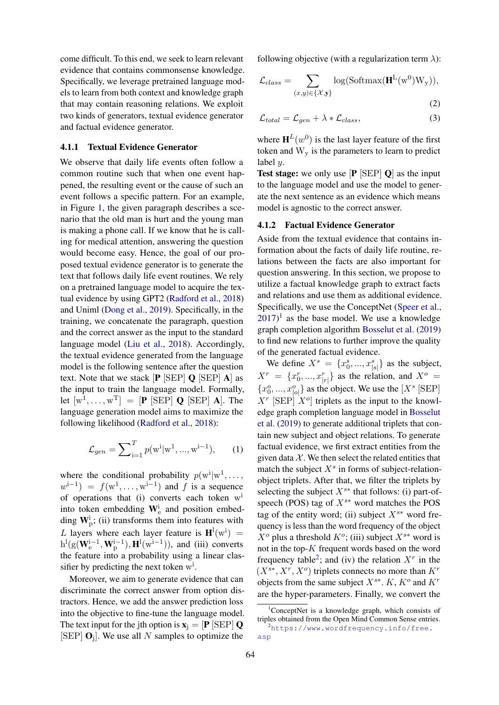come difficult. To this end, we seek to learn relevant evidence that contains commonsense knowledge. Specifically, we leverage pretrained language models to learn from both context and knowledge graph that may contain reasoning relations. We exploit two kinds of generators, textual evidence generator and factual evidence generator.

#### 4.1.1 Textual Evidence Generator

We observe that daily life events often follow a common routine such that when one event happened, the resulting event or the cause of such an event follows a specific pattern. For an example, in Figure [1,](#page-0-0) the given paragraph describes a scenario that the old man is hurt and the young man is making a phone call. If we know that he is calling for medical attention, answering the question would become easy. Hence, the goal of our proposed textual evidence generator is to generate the text that follows daily life event routines. We rely on a pretrained language model to acquire the textual evidence by using GPT2 [\(Radford et al.,](#page-9-0) [2018\)](#page-9-0) and Uniml [\(Dong et al.,](#page-8-9) [2019\)](#page-8-9). Specifically, in the training, we concatenate the paragraph, question and the correct answer as the input to the standard language model [\(Liu et al.,](#page-9-14) [2018\)](#page-9-14). Accordingly, the textual evidence generated from the language model is the following sentence after the question text. Note that we stack  $[\mathbf{P} \times \mathbf{E} \times \mathbf{P}] \mathbf{Q} \times \mathbf{E} \times \mathbf{P} \mathbf{A}]$  as the input to train the language model. Formally, let  $[w^1, \ldots, w^T] = [\mathbf{P} \times [\text{SEP}] \mathbf{Q} \times [\text{SEP}] \mathbf{A}]$ . The language generation model aims to maximize the following likelihood [\(Radford et al.,](#page-9-0) [2018\)](#page-9-0):

$$
\mathcal{L}_{gen} = \sum_{i=1}^{T} p(\mathbf{w}^{i}|\mathbf{w}^{1}, ..., \mathbf{w}^{i-1}), \qquad (1)
$$

where the conditional probability  $p(\text{w}^i | \text{w}^1, \dots, \text{w}^i)$  $w^{i-1}$ ) =  $f(w^1, \ldots, w^{i-1})$  and f is a sequence of operations that (i) converts each token w<sup>i</sup> into token embedding  $W_{\rm e}^{\rm i}$  and position embedding  $W_{\rm p}^{\rm i}$ ; (ii) transforms them into features with L layers where each layer feature is  $\mathbf{H}^{\text{l}}(\text{w}^{\text{i}})$  =  $h^l(g(W_e^{i-1}, W_p^{i-1}), H^l(w_i^{i-1})),$  and (iii) converts the feature into a probability using a linear classifier by predicting the next token  $w<sup>i</sup>$ .

Moreover, we aim to generate evidence that can discriminate the correct answer from option distractors. Hence, we add the answer prediction loss into the objective to fine-tune the language model. The text input for the jth option is  $\mathbf{x}_i = [\mathbf{P} | \text{SEP} | \mathbf{Q}]$ [SEP]  $O_j$ ]. We use all N samples to optimize the

following objective (with a regularization term  $\lambda$ ):

$$
\mathcal{L}_{class} = \sum_{(x,y)\in\{\mathcal{X},\mathbf{y}\}} \log(\text{Softmax}(\mathbf{H}^{\mathcal{L}}(\mathbf{w}^0)\mathbf{W}_{\mathbf{y}})),
$$
\n(2)

<span id="page-3-3"></span>
$$
\mathcal{L}_{total} = \mathcal{L}_{gen} + \lambda * \mathcal{L}_{class},\tag{3}
$$

where  $H^{L}(w^{0})$  is the last layer feature of the first token and  $W_{v}$  is the parameters to learn to predict label y.

**Test stage:** we only use  $[P$  [SEP]  $Q$ ] as the input to the language model and use the model to generate the next sentence as an evidence which means model is agnostic to the correct answer.

#### 4.1.2 Factual Evidence Generator

Aside from the textual evidence that contains information about the facts of daily life routine, relations between the facts are also important for question answering. In this section, we propose to utilize a factual knowledge graph to extract facts and relations and use them as additional evidence. Specifically, we use the ConceptNet [\(Speer et al.,](#page-9-15)  $(2017)^1$  $(2017)^1$  $(2017)^1$  $(2017)^1$  as the base model. We use a knowledge graph completion algorithm [Bosselut et al.](#page-8-10) [\(2019\)](#page-8-10) to find new relations to further improve the quality of the generated factual evidence.

<span id="page-3-2"></span>We define  $X^s = \{x_0^s, ..., x_{|s|}^s\}$  as the subject,  $X^r = \{x_0^r, ..., x_{|r|}^r\}$  as the relation, and  $X^o$  =  ${x_0^o, ..., x_{|o|}^o}$  as the object. We use the [X<sup>s</sup> [SEP]  $X^r$  [SEP]  $X^o$ ] triplets as the input to the knowledge graph completion language model in [Bosselut](#page-8-10) [et al.](#page-8-10) [\(2019\)](#page-8-10) to generate additional triplets that contain new subject and object relations. To generate factual evidence, we first extract entities from the given data  $X$ . We then select the related entities that match the subject  $X<sup>s</sup>$  in forms of subject-relationobject triplets. After that, we filter the triplets by selecting the subject  $X^{s*}$  that follows: (i) part-ofspeech (POS) tag of  $X^{s*}$  word matches the POS tag of the entity word; (ii) subject  $X^{s*}$  word frequency is less than the word frequency of the object  $X^o$  plus a threshold  $K^o$ ; (iii) subject  $X^{s*}$  word is not in the top-K frequent words based on the word frequency table<sup>[2](#page-3-1)</sup>; and (iv) the relation  $X<sup>r</sup>$  in the  $(X^{s*}, X^r, X^o)$  triplets connects no more than  $K^r$ objects from the same subject  $X^{s*}$ . K,  $K^o$  and  $K^r$ are the hyper-parameters. Finally, we convert the

<span id="page-3-0"></span> $1$ ConceptNet is a knowledge graph, which consists of triples obtained from the Open Mind Common Sense entries.

<span id="page-3-1"></span> $^{2}$ [https://www.wordfrequency.info/free.](https://www.wordfrequency.info/free.asp) [asp](https://www.wordfrequency.info/free.asp)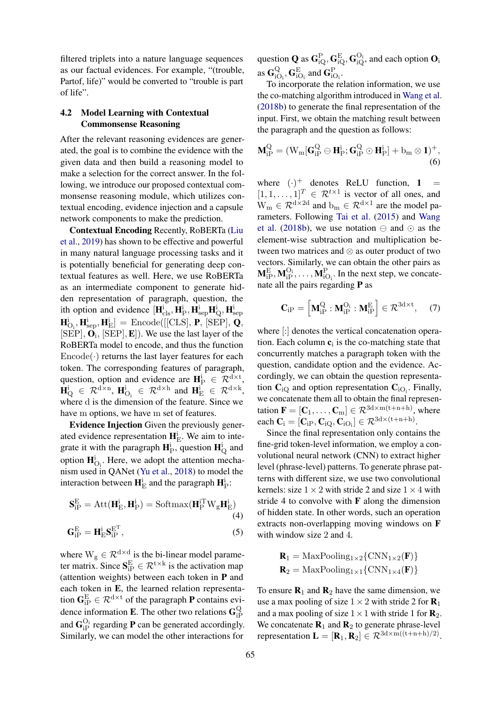filtered triplets into a nature language sequences as our factual evidences. For example, "(trouble, Partof, life)" would be converted to "trouble is part of life".

# 4.2 Model Learning with Contextual Commonsense Reasoning

After the relevant reasoning evidences are generated, the goal is to combine the evidence with the given data and then build a reasoning model to make a selection for the correct answer. In the following, we introduce our proposed contextual commonsense reasoning module, which utilizes contextual encoding, evidence injection and a capsule network components to make the prediction.

Contextual Encoding Recently, RoBERTa [\(Liu](#page-9-1) [et al.,](#page-9-1) [2019\)](#page-9-1) has shown to be effective and powerful in many natural language processing tasks and it is potentially beneficial for generating deep contextual features as well. Here, we use RoBERTa as an intermediate component to generate hidden representation of paragraph, question, the ith option and evidence  $[\mathbf{H}_{\text{cls}}^i, \mathbf{H}_{\text{P}}^i, \mathbf{H}_{\text{sep}}^i \mathbf{H}_{\text{Q}}^i, \mathbf{H}_{\text{sep}}^i]$  $[\mathbf{H}_{\text{O}_i}^{\text{i}}, \mathbf{H}_{\text{sep}}^{\text{i}}, \mathbf{H}_{\text{E}}^{\text{i}}] = \text{Encode}([\text{[CLS]}, \mathbf{P}, \text{[SEP]}, \mathbf{Q}, \text{[theta]}])$  $[SEP], \mathbf{O}_i, [SEP], \mathbf{E}]$ . We use the last layer of the RoBERTa model to encode, and thus the function  $\text{Encode}(\cdot)$  returns the last layer features for each token. The corresponding features of paragraph, question, option and evidence are  $\mathbf{H}_{\mathrm{P}}^{\mathrm{i}} \in \mathcal{R}_{\mathrm{P}}^{\mathrm{d} \times \mathrm{t}}$ ,  $\mathbf{H}_{\mathrm{Q}}^{\mathrm{i}} \in \mathcal{R}^{\mathrm{d} \times \mathrm{n}}$ ,  $\mathbf{H}_{\mathrm{O}_{\mathrm{i}}}^{\mathrm{i}} \in \mathcal{R}^{\mathrm{d} \times \mathrm{h}}$  and  $\mathbf{H}_{\mathrm{E}}^{\mathrm{i}} \in \mathcal{R}^{\mathrm{d} \times \mathrm{k}}$ , where d is the dimension of the feature. Since we have m options, we have m set of features.

Evidence Injection Given the previously generated evidence representation  $\mathbf{H}_{E}^{i}$ . We aim to integrate it with the paragraph  $\mathbf{H}_{\rm P}^{\rm i}$ , question  $\mathbf{H}_{\rm Q}^{\rm i}$  and option  $\mathbf{H}_{\mathrm{O}_i}^i$ . Here, we adopt the attention mechanism used in QANet [\(Yu et al.,](#page-9-16) [2018\)](#page-9-16) to model the interaction between  $\mathbf{H}_{\mathrm{E}}^{\mathrm{i}}$  and the paragraph  $\mathbf{H}_{\mathrm{P}}^{\mathrm{i}}$ :

$$
\mathbf{S}_{iP}^{E} = \text{Att}(\mathbf{H}_{E}^{i}, \mathbf{H}_{P}^{i}) = \text{Softmax}(\mathbf{H}_{P}^{i} \mathbf{W}_{g} \mathbf{H}_{E}^{i})
$$
\n(4)

$$
\mathbf{G}_{\text{iP}}^{\text{E}} = \mathbf{H}_{\text{E}}^{\text{i}} \mathbf{S}_{\text{iP}}^{\text{E}^{\text{T}}},\tag{5}
$$

where  $W_g \in \mathcal{R}^{d \times d}$  is the bi-linear model parameter matrix. Since  $S_{iP}^{\text{E}} \in \mathcal{R}^{t \times k}$  is the activation map (attention weights) between each token in P and each token in E, the learned relation representation  $\mathbf{G}_{iP}^{\text{E}} \in \mathcal{R}^{d \times t}$  of the paragraph **P** contains evidence information **E**. The other two relations  $\mathbf{G}_{iF}^{\text{Q}}$ iP and  $\mathbf{G}_{\text{IP}}^{\text{O}_i}$  regarding **P** can be generated accordingly. Similarly, we can model the other interactions for

question **Q** as  $G_{\text{iQ}}^{\text{P}}, G_{\text{iQ}}^{\text{E}}, G_{\text{iQ}}^{\text{O_i}}$ , and each option  $O_i$ as  $\mathbf{G}_{i}^{\mathrm{Q}}$  ${}_{iO_i}^{\mathrm{Q}}, \mathbf{G}_{iO_i}^{\mathrm{E}}$  and  $\mathbf{G}_{iO_i}^{\mathrm{P}}$ .

To incorporate the relation information, we use the co-matching algorithm introduced in [Wang et al.](#page-9-7) [\(2018b\)](#page-9-7) to generate the final representation of the input. First, we obtain the matching result between the paragraph and the question as follows:

$$
\mathbf{M}_{iP}^Q = (W_m[\mathbf{G}_{iP}^Q \ominus \mathbf{H}_P^i; \mathbf{G}_{iP}^Q \odot \mathbf{H}_P^i] + b_m \otimes 1)^+, \tag{6}
$$

where  $(\cdot)^+$  denotes ReLU function, 1 =  $[1, 1, \ldots, 1]^T \in \mathcal{R}^{t \times 1}$  is vector of all ones, and  $W_m \in \mathcal{R}^{d \times 2d}$  and  $b_m \in \mathcal{R}^{d \times 1}$  are the model parameters. Following [Tai et al.](#page-9-17) [\(2015\)](#page-9-17) and [Wang](#page-9-7) [et al.](#page-9-7) [\(2018b\)](#page-9-7), we use notation  $\ominus$  and  $\odot$  as the element-wise subtraction and multiplication between two matrices and ⊗ as outer product of two vectors. Similarly, we can obtain the other pairs as  $M_{iP}^{E}, M_{iP}^{O_i}, \ldots, M_{iO_i}^{P}$ . In the next step, we concatenate all the pairs regarding P as

$$
\mathbf{C}_{\text{iP}} = \begin{bmatrix} \mathbf{M}_{\text{iP}}^{\text{Q}} : \mathbf{M}_{\text{iP}}^{\text{O}_{\text{i}}} : \mathbf{M}_{\text{iP}}^{\text{E}} \end{bmatrix} \in \mathcal{R}^{\text{3d} \times \text{t}}, \quad (7)
$$

where [:] denotes the vertical concatenation operation. Each column  $c_i$  is the co-matching state that concurrently matches a paragraph token with the question, candidate option and the evidence. Accordingly, we can obtain the question representation  $\mathbf{C}_{iQ}$  and option representation  $\mathbf{C}_{iO_i}$ . Finally, we concatenate them all to obtain the final representation  $\mathbf{F} = [\mathbf{C}_1, \dots, \mathbf{C}_m] \in \mathcal{R}^{3d \times m(t+n+h)}$ , where each  $\mathbf{C}_i = [\mathbf{C}_{iP}, \mathbf{C}_{iQ}, \mathbf{C}_{iQ_i}] \in \mathcal{R}^{3d \times (t+n+h)}$ .

Since the final representation only contains the fine-grid token-level information, we employ a convolutional neural network (CNN) to extract higher level (phrase-level) patterns. To generate phrase patterns with different size, we use two convolutional kernels: size  $1 \times 2$  with stride 2 and size  $1 \times 4$  with stride 4 to convolve with  $\bf{F}$  along the dimension of hidden state. In other words, such an operation extracts non-overlapping moving windows on F with window size 2 and 4.

$$
\mathbf{R}_1 = \text{MaxPooling}_{1 \times 2} \{ \text{CNN}_{1 \times 2}(\mathbf{F}) \}
$$

$$
\mathbf{R}_2 = \text{MaxPooling}_{1 \times 1} \{ \text{CNN}_{1 \times 4}(\mathbf{F}) \}
$$

To ensure  $\mathbf{R}_1$  and  $\mathbf{R}_2$  have the same dimension, we use a max pooling of size  $1 \times 2$  with stride 2 for  $\mathbf{R}_1$ and a max pooling of size  $1 \times 1$  with stride 1 for  $\mathbf{R}_2$ . We concatenate  $\mathbf{R}_1$  and  $\mathbf{R}_2$  to generate phrase-level representation  $\mathbf{L} = [\mathbf{R}_1, \mathbf{R}_2] \in \mathcal{R}^{3d \times m((t+n+h)/2)}$ .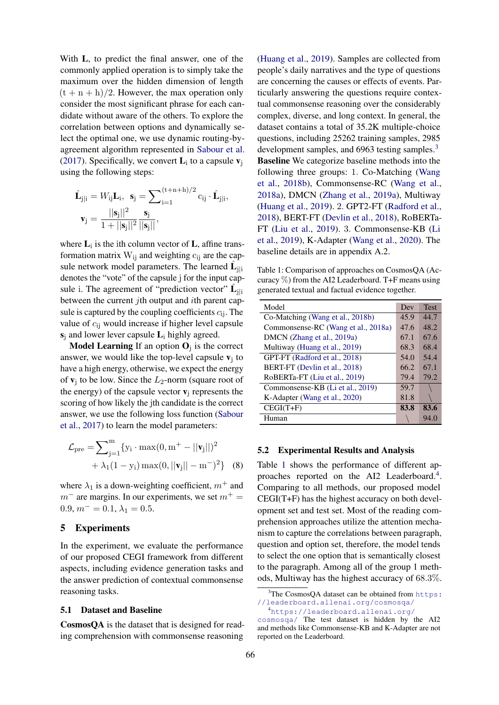With L, to predict the final answer, one of the commonly applied operation is to simply take the maximum over the hidden dimension of length  $(t + n + h)/2$ . However, the max operation only consider the most significant phrase for each candidate without aware of the others. To explore the correlation between options and dynamically select the optimal one, we use dynamic routing-byagreement algorithm represented in [Sabour et al.](#page-9-6) [\(2017\)](#page-9-6). Specifically, we convert  $\mathbf{L}_i$  to a capsule  $\mathbf{v}_j$ using the following steps:

$$
\hat{\mathbf{L}}_{j|i} = W_{ij}\mathbf{L}_i, \ \mathbf{s}_j = \sum_{i=1}^{(t+n+h)/2} c_{ij} \cdot \hat{\mathbf{L}}_{j|i},
$$

$$
\mathbf{v}_j = \frac{||\mathbf{s}_j||^2}{1 + ||\mathbf{s}_j||^2} \frac{\mathbf{s}_j}{||\mathbf{s}_j||},
$$

where  $\mathbf{L}_i$  is the ith column vector of  $\mathbf{L}$ , affine transformation matrix  $W_{ii}$  and weighting  $c_{ii}$  are the capsule network model parameters. The learned  $\hat{\mathbf{L}}_{j|i}$ denotes the "vote" of the capsule j for the input capsule i. The agreement of "prediction vector"  $\hat{\mathbf{L}}_{j|i}$ between the current *j*th output and *i*th parent capsule is captured by the coupling coefficients  $c_{ij}$ . The value of  $c_{ij}$  would increase if higher level capsule  $s_i$  and lower lever capsule  $L_i$  highly agreed.

**Model Learning** If an option  $O_j$  is the correct answer, we would like the top-level capsule  $v_j$  to have a high energy, otherwise, we expect the energy of  $v_j$  to be low. Since the  $L_2$ -norm (square root of the energy) of the capsule vector  $v_i$  represents the scoring of how likely the jth candidate is the correct answer, we use the following loss function [\(Sabour](#page-9-6) [et al.,](#page-9-6) [2017\)](#page-9-6) to learn the model parameters:

$$
\mathcal{L}_{pre} = \sum_{j=1}^{m} \{ y_i \cdot \max(0, m^+ - ||\mathbf{v}_j||)^2
$$

$$
+ \lambda_1 (1 - y_i) \max(0, ||\mathbf{v}_j|| - m^-)^2 \} (8)
$$

where  $\lambda_1$  is a down-weighting coefficient,  $m^+$  and  $m^-$  are margins. In our experiments, we set  $m^+$  = 0.9,  $m^- = 0.1$ ,  $\lambda_1 = 0.5$ .

#### 5 Experiments

In the experiment, we evaluate the performance of our proposed CEGI framework from different aspects, including evidence generation tasks and the answer prediction of contextual commonsense reasoning tasks.

#### 5.1 Dataset and Baseline

CosmosQA is the dataset that is designed for reading comprehension with commonsense reasoning

[\(Huang et al.,](#page-8-5) [2019\)](#page-8-5). Samples are collected from people's daily narratives and the type of questions are concerning the causes or effects of events. Particularly answering the questions require contextual commonsense reasoning over the considerably complex, diverse, and long context. In general, the dataset contains a total of 35.2K multiple-choice questions, including 25262 training samples, 2985 development samples, and 696[3](#page-5-0) testing samples.<sup>3</sup> Baseline We categorize baseline methods into the following three groups: 1. Co-Matching [\(Wang](#page-9-7) [et al.,](#page-9-7) [2018b\)](#page-9-7), Commonsense-RC [\(Wang et al.,](#page-9-18) [2018a\)](#page-9-18), DMCN [\(Zhang et al.,](#page-9-4) [2019a\)](#page-9-4), Multiway [\(Huang et al.,](#page-8-5) [2019\)](#page-8-5). 2. GPT2-FT [\(Radford et al.,](#page-9-0) [2018\)](#page-9-0), BERT-FT [\(Devlin et al.,](#page-8-3) [2018\)](#page-8-3), RoBERTa-FT [\(Liu et al.,](#page-9-1) [2019\)](#page-9-1). 3. Commonsense-KB [\(Li](#page-8-11) [et al.,](#page-8-11) [2019\)](#page-8-11), K-Adapter [\(Wang et al.,](#page-9-19) [2020\)](#page-9-19). The baseline details are in appendix A.2.

<span id="page-5-1"></span>Table 1: Comparison of approaches on CosmosQA (Accuracy  $\%$ ) from the AI2 Leaderboard. T+F means using generated textual and factual evidence together.

| Model                               | Dev  | <b>Test</b> |
|-------------------------------------|------|-------------|
| Co-Matching (Wang et al., 2018b)    | 45.9 | 44.7        |
| Commonsense-RC (Wang et al., 2018a) | 47.6 | 48.2        |
| DMCN (Zhang et al., 2019a)          | 67.1 | 67.6        |
| Multiway (Huang et al., 2019)       | 68.3 | 68.4        |
| GPT-FT (Radford et al., 2018)       | 54.0 | 54.4        |
| BERT-FT (Devlin et al., 2018)       | 66.2 | 67.1        |
| RoBERTa-FT (Liu et al., 2019)       | 79.4 | 79.2        |
| Commonsense-KB (Li et al., 2019)    | 59.7 |             |
| K-Adapter (Wang et al., 2020)       | 81.8 |             |
| $CEGI(T+F)$                         | 83.8 | 83.6        |
| Human                               |      | 94.0        |

#### 5.2 Experimental Results and Analysis

Table [1](#page-5-1) shows the performance of different ap-proaches reported on the AI2 Leaderboard.<sup>[4](#page-5-2)</sup>. Comparing to all methods, our proposed model CEGI(T+F) has the highest accuracy on both development set and test set. Most of the reading comprehension approaches utilize the attention mechanism to capture the correlations between paragraph, question and option set, therefore, the model tends to select the one option that is semantically closest to the paragraph. Among all of the group 1 methods, Multiway has the highest accuracy of 68.3%.

<span id="page-5-0"></span> $3$ The CosmosQA dataset can be obtained from [https:](https://leaderboard.allenai.org/cosmosqa/) [//leaderboard.allenai.org/cosmosqa/](https://leaderboard.allenai.org/cosmosqa/)

<span id="page-5-2"></span><sup>4</sup>[https://leaderboard.allenai.org/](https://leaderboard.allenai.org/cosmosqa/)

[cosmosqa/](https://leaderboard.allenai.org/cosmosqa/) The test dataset is hidden by the AI2 and methods like Commonsense-KB and K-Adapter are not reported on the Leaderboard.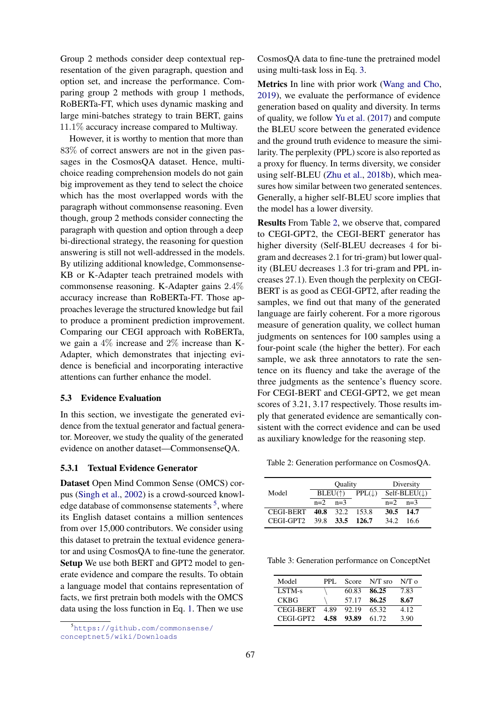Group 2 methods consider deep contextual representation of the given paragraph, question and option set, and increase the performance. Comparing group 2 methods with group 1 methods, RoBERTa-FT, which uses dynamic masking and large mini-batches strategy to train BERT, gains 11.1% accuracy increase compared to Multiway.

However, it is worthy to mention that more than 83% of correct answers are not in the given passages in the CosmosQA dataset. Hence, multichoice reading comprehension models do not gain big improvement as they tend to select the choice which has the most overlapped words with the paragraph without commonsense reasoning. Even though, group 2 methods consider connecting the paragraph with question and option through a deep bi-directional strategy, the reasoning for question answering is still not well-addressed in the models. By utilizing additional knowledge, Commonsense-KB or K-Adapter teach pretrained models with commonsense reasoning. K-Adapter gains 2.4% accuracy increase than RoBERTa-FT. Those approaches leverage the structured knowledge but fail to produce a prominent prediction improvement. Comparing our CEGI approach with RoBERTa, we gain a 4% increase and 2% increase than K-Adapter, which demonstrates that injecting evidence is beneficial and incorporating interactive attentions can further enhance the model.

#### 5.3 Evidence Evaluation

In this section, we investigate the generated evidence from the textual generator and factual generator. Moreover, we study the quality of the generated evidence on another dataset—CommonsenseQA.

#### 5.3.1 Textual Evidence Generator

Dataset Open Mind Common Sense (OMCS) corpus [\(Singh et al.,](#page-9-20) [2002\)](#page-9-20) is a crowd-sourced knowl-edge database of commonsense statements<sup>[5](#page-6-0)</sup>, where its English dataset contains a million sentences from over 15,000 contributors. We consider using this dataset to pretrain the textual evidence generator and using CosmosQA to fine-tune the generator. Setup We use both BERT and GPT2 model to generate evidence and compare the results. To obtain a language model that contains representation of facts, we first pretrain both models with the OMCS data using the loss function in Eq. [1.](#page-3-2) Then we use

CosmosQA data to fine-tune the pretrained model using multi-task loss in Eq. [3.](#page-3-3)

Metrics In line with prior work [\(Wang and Cho,](#page-9-21) [2019\)](#page-9-21), we evaluate the performance of evidence generation based on quality and diversity. In terms of quality, we follow [Yu et al.](#page-9-22) [\(2017\)](#page-9-22) and compute the BLEU score between the generated evidence and the ground truth evidence to measure the similarity. The perplexity (PPL) score is also reported as a proxy for fluency. In terms diversity, we consider using self-BLEU [\(Zhu et al.,](#page-10-1) [2018b\)](#page-10-1), which measures how similar between two generated sentences. Generally, a higher self-BLEU score implies that the model has a lower diversity.

Results From Table [2,](#page-6-1) we observe that, compared to CEGI-GPT2, the CEGI-BERT generator has higher diversity (Self-BLEU decreases 4 for bigram and decreases 2.1 for tri-gram) but lower quality (BLEU decreases 1.3 for tri-gram and PPL increases 27.1). Even though the perplexity on CEGI-BERT is as good as CEGI-GPT2, after reading the samples, we find out that many of the generated language are fairly coherent. For a more rigorous measure of generation quality, we collect human judgments on sentences for 100 samples using a four-point scale (the higher the better). For each sample, we ask three annotators to rate the sentence on its fluency and take the average of the three judgments as the sentence's fluency score. For CEGI-BERT and CEGI-GPT2, we get mean scores of 3.21, 3.17 respectively. Those results imply that generated evidence are semantically consistent with the correct evidence and can be used as auxiliary knowledge for the reasoning step.

<span id="page-6-1"></span>Table 2: Generation performance on CosmosQA.

|                  | Quality          |           |                    |                         | Diversity |
|------------------|------------------|-----------|--------------------|-------------------------|-----------|
| Model            | $BLEU(\uparrow)$ |           | $PPL(\mathcal{L})$ | $Self-BLEU(\downarrow)$ |           |
|                  | $n=2$            | $n=3$     |                    | $n=2$                   | $n=3$     |
| <b>CEGI-BERT</b> |                  | 40.8 32.2 | - 153.8            | 30.5                    | - 14.7    |
| CEGL-GPT2        |                  |           | 39.8 33.5 126.7    | 34.2                    | 16 6      |

<span id="page-6-2"></span>Table 3: Generation performance on ConceptNet

| Model            | PPL. | Score | $N/T$ sro | N/T <sub>0</sub> |
|------------------|------|-------|-----------|------------------|
| LSTM-s           |      | 60.83 | 86.25     | 7.83             |
| <b>CKBG</b>      |      | 57.17 | 86.25     | 8.67             |
| <b>CEGI-BERT</b> | 4.89 | 92.19 | 65.32     | 4.12             |
| CEGL-GPT2        | 4.58 | 93.89 | 61.72     | 3.90             |

<span id="page-6-0"></span><sup>5</sup>[https://github.com/commonsense/](https://github.com/commonsense/conceptnet5/wiki/Downloads) [conceptnet5/wiki/Downloads](https://github.com/commonsense/conceptnet5/wiki/Downloads)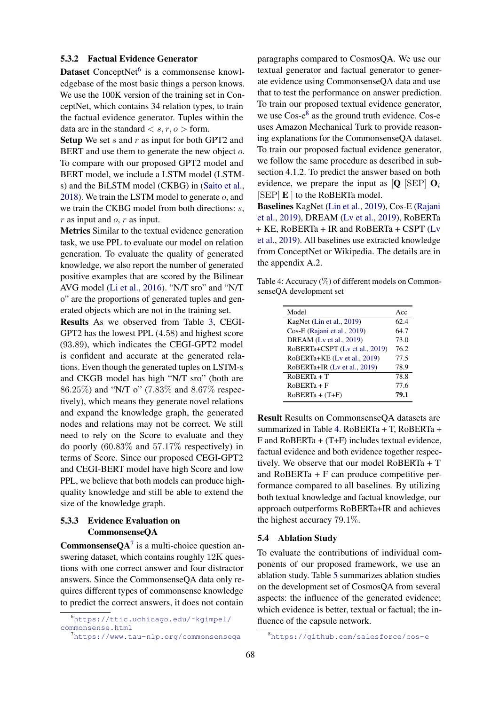### 5.3.2 Factual Evidence Generator

Dataset ConceptNet<sup>[6](#page-7-0)</sup> is a commonsense knowledgebase of the most basic things a person knows. We use the 100K version of the training set in ConceptNet, which contains 34 relation types, to train the factual evidence generator. Tuples within the data are in the standard  $\langle s, r, o \rangle$  form.

**Setup** We set s and r as input for both GPT2 and BERT and use them to generate the new object o. To compare with our proposed GPT2 model and BERT model, we include a LSTM model (LSTMs) and the BiLSTM model (CKBG) in [\(Saito et al.,](#page-9-23) [2018\)](#page-9-23). We train the LSTM model to generate o, and we train the CKBG model from both directions: s,  $r$  as input and  $o, r$  as input.

Metrics Similar to the textual evidence generation task, we use PPL to evaluate our model on relation generation. To evaluate the quality of generated knowledge, we also report the number of generated positive examples that are scored by the Bilinear AVG model [\(Li et al.,](#page-8-12) [2016\)](#page-8-12). "N/T sro" and "N/T o" are the proportions of generated tuples and generated objects which are not in the training set.

Results As we observed from Table [3,](#page-6-2) CEGI-GPT2 has the lowest PPL (4.58) and highest score (93.89), which indicates the CEGI-GPT2 model is confident and accurate at the generated relations. Even though the generated tuples on LSTM-s and CKGB model has high "N/T sro" (both are 86.25%) and "N/T o" (7.83% and 8.67% respectively), which means they generate novel relations and expand the knowledge graph, the generated nodes and relations may not be correct. We still need to rely on the Score to evaluate and they do poorly (60.83% and 57.17% respectively) in terms of Score. Since our proposed CEGI-GPT2 and CEGI-BERT model have high Score and low PPL, we believe that both models can produce highquality knowledge and still be able to extend the size of the knowledge graph.

# 5.3.3 Evidence Evaluation on CommonsenseQA

**CommonsenseQA**<sup>[7](#page-7-1)</sup> is a multi-choice question answering dataset, which contains roughly 12K questions with one correct answer and four distractor answers. Since the CommonsenseQA data only requires different types of commonsense knowledge to predict the correct answers, it does not contain

paragraphs compared to CosmosQA. We use our textual generator and factual generator to generate evidence using CommonsenseQA data and use that to test the performance on answer prediction. To train our proposed textual evidence generator, we use  $\cos$ - $e^8$  $e^8$  as the ground truth evidence. Cos-e uses Amazon Mechanical Turk to provide reasoning explanations for the CommonsenseQA dataset. To train our proposed factual evidence generator, we follow the same procedure as described in subsection 4.1.2. To predict the answer based on both evidence, we prepare the input as  $[Q]$  [SEP]  $Q_i$ [SEP] E ] to the RoBERTa model.

Baselines KagNet [\(Lin et al.,](#page-8-6) [2019\)](#page-8-6), Cos-E [\(Rajani](#page-9-24) [et al.,](#page-9-24) [2019\)](#page-9-24), DREAM [\(Lv et al.,](#page-9-10) [2019\)](#page-9-10), RoBERTa + KE, RoBERTa + IR and RoBERTa + CSPT [\(Lv](#page-9-10) [et al.,](#page-9-10) [2019\)](#page-9-10). All baselines use extracted knowledge from ConceptNet or Wikipedia. The details are in the appendix A.2.

<span id="page-7-3"></span>Table 4: Accuracy (%) of different models on CommonsenseQA development set

| Model                          | Acc  |
|--------------------------------|------|
| KagNet (Lin et al., 2019)      | 62.4 |
| Cos-E (Rajani et al., 2019)    | 64.7 |
| DREAM (Ly et al., 2019)        | 73.0 |
| RoBERTa+CSPT (Lv et al., 2019) | 76.2 |
| RoBERTa+KE (Lv et al., 2019)   | 77.5 |
| RoBERTa+IR (Lv et al., 2019)   | 78.9 |
| $RoBERTa + T$                  | 78.8 |
| $RoBERTa + F$                  | 77.6 |
| $RoBERTa + (T+F)$              | 79.1 |

Result Results on CommonsenseQA datasets are summarized in Table [4.](#page-7-3) RoBERTa + T, RoBERTa +  $F$  and RoBERTa + (T+F) includes textual evidence, factual evidence and both evidence together respectively. We observe that our model RoBERTa + T and RoBERTa + F can produce competitive performance compared to all baselines. By utilizing both textual knowledge and factual knowledge, our approach outperforms RoBERTa+IR and achieves the highest accuracy 79.1%.

#### 5.4 Ablation Study

To evaluate the contributions of individual components of our proposed framework, we use an ablation study. Table [5](#page-8-13) summarizes ablation studies on the development set of CosmosQA from several aspects: the influence of the generated evidence; which evidence is better, textual or factual; the influence of the capsule network.

<span id="page-7-0"></span><sup>6</sup>[https://ttic.uchicago.edu/˜kgimpel/](https://ttic.uchicago.edu/~kgimpel/commonsense.html) [commonsense.html](https://ttic.uchicago.edu/~kgimpel/commonsense.html)

<span id="page-7-1"></span><sup>7</sup><https://www.tau-nlp.org/commonsenseqa>

<span id="page-7-2"></span><sup>8</sup><https://github.com/salesforce/cos-e>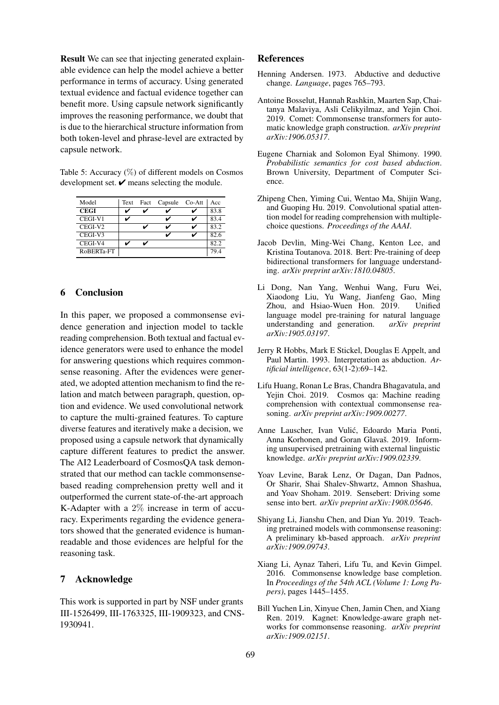Result We can see that injecting generated explainable evidence can help the model achieve a better performance in terms of accuracy. Using generated textual evidence and factual evidence together can benefit more. Using capsule network significantly improves the reasoning performance, we doubt that is due to the hierarchical structure information from both token-level and phrase-level are extracted by capsule network.

<span id="page-8-13"></span>Table 5: Accuracy  $(\%)$  of different models on Cosmos development set.  $\checkmark$  means selecting the module.

| Model               | Text | Fact | Capsule | $Co-Att$ | Acc  |
|---------------------|------|------|---------|----------|------|
| <b>CEGI</b>         | v    |      |         |          | 83.8 |
| CEGI-V1             | ✓    |      |         |          | 83.4 |
| CEGI-V <sub>2</sub> |      |      |         |          | 83.2 |
| CEGI-V3             |      |      |         |          | 82.6 |
| CEGI-V4             |      |      |         |          | 82.2 |
| RoBERTa-FT          |      |      |         |          | 794  |

# 6 Conclusion

In this paper, we proposed a commonsense evidence generation and injection model to tackle reading comprehension. Both textual and factual evidence generators were used to enhance the model for answering questions which requires commonsense reasoning. After the evidences were generated, we adopted attention mechanism to find the relation and match between paragraph, question, option and evidence. We used convolutional network to capture the multi-grained features. To capture diverse features and iteratively make a decision, we proposed using a capsule network that dynamically capture different features to predict the answer. The AI2 Leaderboard of CosmosQA task demonstrated that our method can tackle commonsensebased reading comprehension pretty well and it outperformed the current state-of-the-art approach K-Adapter with a 2% increase in term of accuracy. Experiments regarding the evidence generators showed that the generated evidence is humanreadable and those evidences are helpful for the reasoning task.

# 7 Acknowledge

This work is supported in part by NSF under grants III-1526499, III-1763325, III-1909323, and CNS-1930941.

# References

- <span id="page-8-1"></span>Henning Andersen. 1973. Abductive and deductive change. *Language*, pages 765–793.
- <span id="page-8-10"></span>Antoine Bosselut, Hannah Rashkin, Maarten Sap, Chaitanya Malaviya, Asli Celikyilmaz, and Yejin Choi. 2019. Comet: Commonsense transformers for automatic knowledge graph construction. *arXiv preprint arXiv:1906.05317*.
- <span id="page-8-2"></span>Eugene Charniak and Solomon Eyal Shimony. 1990. *Probabilistic semantics for cost based abduction*. Brown University, Department of Computer Science.
- <span id="page-8-4"></span>Zhipeng Chen, Yiming Cui, Wentao Ma, Shijin Wang, and Guoping Hu. 2019. Convolutional spatial attention model for reading comprehension with multiplechoice questions. *Proceedings of the AAAI*.
- <span id="page-8-3"></span>Jacob Devlin, Ming-Wei Chang, Kenton Lee, and Kristina Toutanova. 2018. Bert: Pre-training of deep bidirectional transformers for language understanding. *arXiv preprint arXiv:1810.04805*.
- <span id="page-8-9"></span>Li Dong, Nan Yang, Wenhui Wang, Furu Wei, Xiaodong Liu, Yu Wang, Jianfeng Gao, Ming Zhou, and Hsiao-Wuen Hon. 2019. Unified language model pre-training for natural language understanding and generation. *arXiv preprint arXiv:1905.03197*.
- <span id="page-8-0"></span>Jerry R Hobbs, Mark E Stickel, Douglas E Appelt, and Paul Martin. 1993. Interpretation as abduction. *Artificial intelligence*, 63(1-2):69–142.
- <span id="page-8-5"></span>Lifu Huang, Ronan Le Bras, Chandra Bhagavatula, and Yejin Choi. 2019. Cosmos qa: Machine reading comprehension with contextual commonsense reasoning. *arXiv preprint arXiv:1909.00277*.
- <span id="page-8-7"></span>Anne Lauscher, Ivan Vulic, Edoardo Maria Ponti, ´ Anna Korhonen, and Goran Glavaš. 2019. Informing unsupervised pretraining with external linguistic knowledge. *arXiv preprint arXiv:1909.02339*.
- <span id="page-8-8"></span>Yoav Levine, Barak Lenz, Or Dagan, Dan Padnos, Or Sharir, Shai Shalev-Shwartz, Amnon Shashua, and Yoav Shoham. 2019. Sensebert: Driving some sense into bert. *arXiv preprint arXiv:1908.05646*.
- <span id="page-8-11"></span>Shiyang Li, Jianshu Chen, and Dian Yu. 2019. Teaching pretrained models with commonsense reasoning: A preliminary kb-based approach. *arXiv preprint arXiv:1909.09743*.
- <span id="page-8-12"></span>Xiang Li, Aynaz Taheri, Lifu Tu, and Kevin Gimpel. 2016. Commonsense knowledge base completion. In *Proceedings of the 54th ACL (Volume 1: Long Papers)*, pages 1445–1455.
- <span id="page-8-6"></span>Bill Yuchen Lin, Xinyue Chen, Jamin Chen, and Xiang Ren. 2019. Kagnet: Knowledge-aware graph networks for commonsense reasoning. *arXiv preprint arXiv:1909.02151*.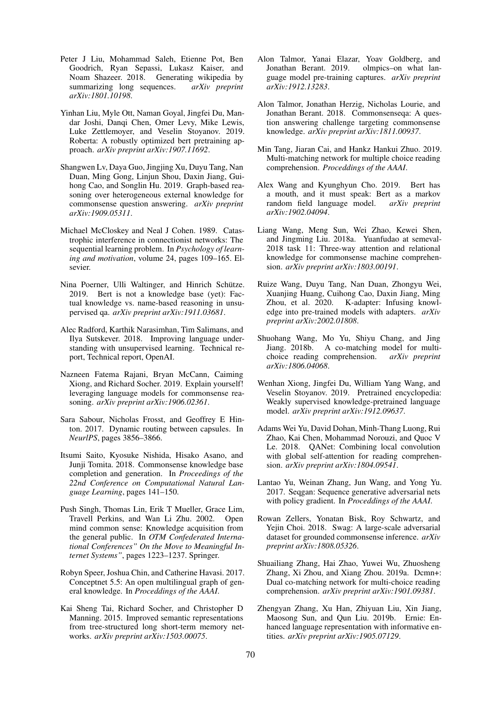- <span id="page-9-14"></span>Peter J Liu, Mohammad Saleh, Etienne Pot, Ben Goodrich, Ryan Sepassi, Lukasz Kaiser, and<br>Noam Shazeer. 2018. Generating wikipedia by Generating wikipedia by summarizing long sequences. *arXiv preprint arXiv:1801.10198*.
- <span id="page-9-1"></span>Yinhan Liu, Myle Ott, Naman Goyal, Jingfei Du, Mandar Joshi, Danqi Chen, Omer Levy, Mike Lewis, Luke Zettlemoyer, and Veselin Stoyanov. 2019. Roberta: A robustly optimized bert pretraining approach. *arXiv preprint arXiv:1907.11692*.
- <span id="page-9-10"></span>Shangwen Lv, Daya Guo, Jingjing Xu, Duyu Tang, Nan Duan, Ming Gong, Linjun Shou, Daxin Jiang, Guihong Cao, and Songlin Hu. 2019. Graph-based reasoning over heterogeneous external knowledge for commonsense question answering. *arXiv preprint arXiv:1909.05311*.
- <span id="page-9-13"></span>Michael McCloskey and Neal J Cohen. 1989. Catastrophic interference in connectionist networks: The sequential learning problem. In *Psychology of learning and motivation*, volume 24, pages 109–165. Elsevier.
- <span id="page-9-2"></span>Nina Poerner, Ulli Waltinger, and Hinrich Schütze. 2019. Bert is not a knowledge base (yet): Factual knowledge vs. name-based reasoning in unsupervised qa. *arXiv preprint arXiv:1911.03681*.
- <span id="page-9-0"></span>Alec Radford, Karthik Narasimhan, Tim Salimans, and Ilya Sutskever. 2018. Improving language understanding with unsupervised learning. Technical report, Technical report, OpenAI.
- <span id="page-9-24"></span>Nazneen Fatema Rajani, Bryan McCann, Caiming Xiong, and Richard Socher. 2019. Explain yourself! leveraging language models for commonsense reasoning. *arXiv preprint arXiv:1906.02361*.
- <span id="page-9-6"></span>Sara Sabour, Nicholas Frosst, and Geoffrey E Hinton. 2017. Dynamic routing between capsules. In *NeurlPS*, pages 3856–3866.
- <span id="page-9-23"></span>Itsumi Saito, Kyosuke Nishida, Hisako Asano, and Junji Tomita. 2018. Commonsense knowledge base completion and generation. In *Proceedings of the 22nd Conference on Computational Natural Language Learning*, pages 141–150.
- <span id="page-9-20"></span>Push Singh, Thomas Lin, Erik T Mueller, Grace Lim, Travell Perkins, and Wan Li Zhu. 2002. Open mind common sense: Knowledge acquisition from the general public. In *OTM Confederated International Conferences" On the Move to Meaningful Internet Systems"*, pages 1223–1237. Springer.
- <span id="page-9-15"></span>Robyn Speer, Joshua Chin, and Catherine Havasi. 2017. Conceptnet 5.5: An open multilingual graph of general knowledge. In *Proceddings of the AAAI*.
- <span id="page-9-17"></span>Kai Sheng Tai, Richard Socher, and Christopher D Manning. 2015. Improved semantic representations from tree-structured long short-term memory networks. *arXiv preprint arXiv:1503.00075*.
- <span id="page-9-3"></span>Alon Talmor, Yanai Elazar, Yoav Goldberg, and Jonathan Berant. 2019. olmpics–on what language model pre-training captures. *arXiv preprint arXiv:1912.13283*.
- <span id="page-9-9"></span>Alon Talmor, Jonathan Herzig, Nicholas Lourie, and Jonathan Berant. 2018. Commonsenseqa: A question answering challenge targeting commonsense knowledge. *arXiv preprint arXiv:1811.00937*.
- <span id="page-9-5"></span>Min Tang, Jiaran Cai, and Hankz Hankui Zhuo. 2019. Multi-matching network for multiple choice reading comprehension. *Proceddings of the AAAI*.
- <span id="page-9-21"></span>Alex Wang and Kyunghyun Cho. 2019. Bert has a mouth, and it must speak: Bert as a markov random field language model. *arXiv preprint arXiv:1902.04094*.
- <span id="page-9-18"></span>Liang Wang, Meng Sun, Wei Zhao, Kewei Shen, and Jingming Liu. 2018a. Yuanfudao at semeval-2018 task 11: Three-way attention and relational knowledge for commonsense machine comprehension. *arXiv preprint arXiv:1803.00191*.
- <span id="page-9-19"></span>Ruize Wang, Duyu Tang, Nan Duan, Zhongyu Wei, Xuanjing Huang, Cuihong Cao, Daxin Jiang, Ming Zhou, et al. 2020. K-adapter: Infusing knowledge into pre-trained models with adapters. *arXiv preprint arXiv:2002.01808*.
- <span id="page-9-7"></span>Shuohang Wang, Mo Yu, Shiyu Chang, and Jing Jiang. 2018b. A co-matching model for multichoice reading comprehension. *arXiv preprint arXiv:1806.04068*.
- <span id="page-9-12"></span>Wenhan Xiong, Jingfei Du, William Yang Wang, and Veselin Stoyanov. 2019. Pretrained encyclopedia: Weakly supervised knowledge-pretrained language model. *arXiv preprint arXiv:1912.09637*.
- <span id="page-9-16"></span>Adams Wei Yu, David Dohan, Minh-Thang Luong, Rui Zhao, Kai Chen, Mohammad Norouzi, and Quoc V Le. 2018. QANet: Combining local convolution with global self-attention for reading comprehension. *arXiv preprint arXiv:1804.09541*.
- <span id="page-9-22"></span>Lantao Yu, Weinan Zhang, Jun Wang, and Yong Yu. 2017. Seqgan: Sequence generative adversarial nets with policy gradient. In *Proceddings of the AAAI*.
- <span id="page-9-8"></span>Rowan Zellers, Yonatan Bisk, Roy Schwartz, and Yejin Choi. 2018. Swag: A large-scale adversarial dataset for grounded commonsense inference. *arXiv preprint arXiv:1808.05326*.
- <span id="page-9-4"></span>Shuailiang Zhang, Hai Zhao, Yuwei Wu, Zhuosheng Zhang, Xi Zhou, and Xiang Zhou. 2019a. Dcmn+: Dual co-matching network for multi-choice reading comprehension. *arXiv preprint arXiv:1901.09381*.
- <span id="page-9-11"></span>Zhengyan Zhang, Xu Han, Zhiyuan Liu, Xin Jiang, Maosong Sun, and Qun Liu. 2019b. Ernie: Enhanced language representation with informative entities. *arXiv preprint arXiv:1905.07129*.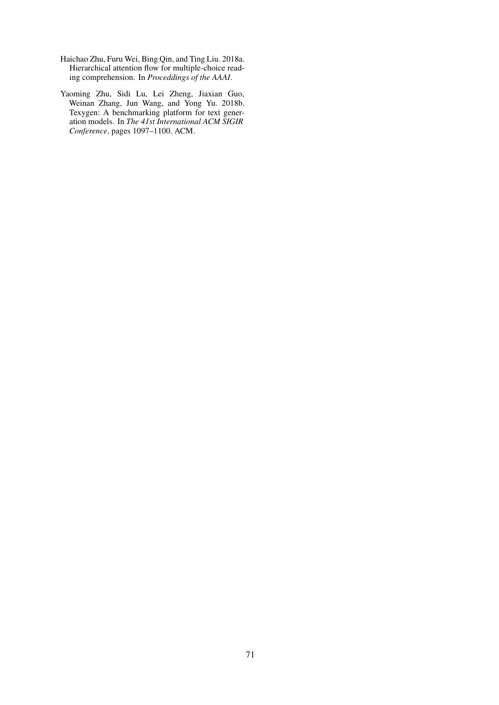- <span id="page-10-0"></span>Haichao Zhu, Furu Wei, Bing Qin, and Ting Liu. 2018a. Hierarchical attention flow for multiple-choice reading comprehension. In *Proceddings of the AAAI*.
- <span id="page-10-1"></span>Yaoming Zhu, Sidi Lu, Lei Zheng, Jiaxian Guo, Weinan Zhang, Jun Wang, and Yong Yu. 2018b. Texygen: A benchmarking platform for text generation models. In *The 41st International ACM SIGIR Conference*, pages 1097–1100. ACM.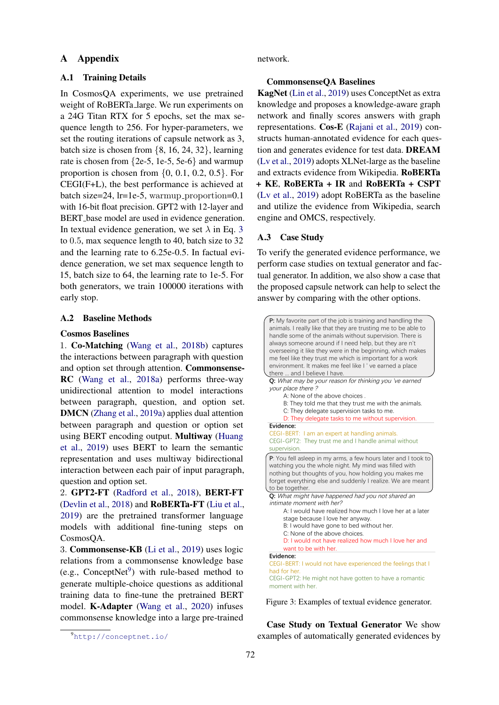# A Appendix

### A.1 Training Details

In CosmosQA experiments, we use pretrained weight of RoBERTa large. We run experiments on a 24G Titan RTX for 5 epochs, set the max sequence length to 256. For hyper-parameters, we set the routing iterations of capsule network as 3, batch size is chosen from {8, 16, 24, 32}, learning rate is chosen from {2e-5, 1e-5, 5e-6} and warmup proportion is chosen from  $\{0, 0.1, 0.2, 0.5\}$ . For CEGI(F+L), the best performance is achieved at batch size=24, lr=1e-5, warmup\_proportion=0.1 with 16-bit float precision. GPT2 with 12-layer and BERT base model are used in evidence generation. In textual evidence generation, we set  $\lambda$  in Eq. [3](#page-3-3) to 0.5, max sequence length to 40, batch size to 32 and the learning rate to 6.25e-0.5. In factual evidence generation, we set max sequence length to 15, batch size to 64, the learning rate to 1e-5. For both generators, we train 100000 iterations with early stop.

# A.2 Baseline Methods

### Cosmos Baselines

1. Co-Matching [\(Wang et al.,](#page-9-7) [2018b\)](#page-9-7) captures the interactions between paragraph with question and option set through attention. Commonsense-RC [\(Wang et al.,](#page-9-18) [2018a\)](#page-9-18) performs three-way unidirectional attention to model interactions between paragraph, question, and option set. DMCN [\(Zhang et al.,](#page-9-4) [2019a\)](#page-9-4) applies dual attention between paragraph and question or option set using BERT encoding output. Multiway [\(Huang](#page-8-5) [et al.,](#page-8-5) [2019\)](#page-8-5) uses BERT to learn the semantic representation and uses multiway bidirectional interaction between each pair of input paragraph, question and option set.

2. GPT2-FT [\(Radford et al.,](#page-9-0) [2018\)](#page-9-0), BERT-FT [\(Devlin et al.,](#page-8-3) [2018\)](#page-8-3) and RoBERTa-FT [\(Liu et al.,](#page-9-1) [2019\)](#page-9-1) are the pretrained transformer language models with additional fine-tuning steps on CosmosQA.

3. Commonsense-KB [\(Li et al.,](#page-8-11) [2019\)](#page-8-11) uses logic relations from a commonsense knowledge base (e.g., ConceptNet $9$ ) with rule-based method to generate multiple-choice questions as additional training data to fine-tune the pretrained BERT model. K-Adapter [\(Wang et al.,](#page-9-19) [2020\)](#page-9-19) infuses commonsense knowledge into a large pre-trained

<span id="page-11-0"></span><sup>9</sup><http://conceptnet.io/>

network.

#### CommonsenseQA Baselines

KagNet [\(Lin et al.,](#page-8-6) [2019\)](#page-8-6) uses ConceptNet as extra knowledge and proposes a knowledge-aware graph network and finally scores answers with graph representations. Cos-E [\(Rajani et al.,](#page-9-24) [2019\)](#page-9-24) constructs human-annotated evidence for each question and generates evidence for test data. DREAM [\(Lv et al.,](#page-9-10) [2019\)](#page-9-10) adopts XLNet-large as the baseline and extracts evidence from Wikipedia. RoBERTa + KE, RoBERTa + IR and RoBERTa + CSPT [\(Lv et al.,](#page-9-10) [2019\)](#page-9-10) adopt RoBERTa as the baseline and utilize the evidence from Wikipedia, search engine and OMCS, respectively.

### A.3 Case Study

To verify the generated evidence performance, we perform case studies on textual generator and factual generator. In addition, we also show a case that the proposed capsule network can help to select the answer by comparing with the other options.

<span id="page-11-1"></span>

Figure 3: Examples of textual evidence generator.

Case Study on Textual Generator We show examples of automatically generated evidences by